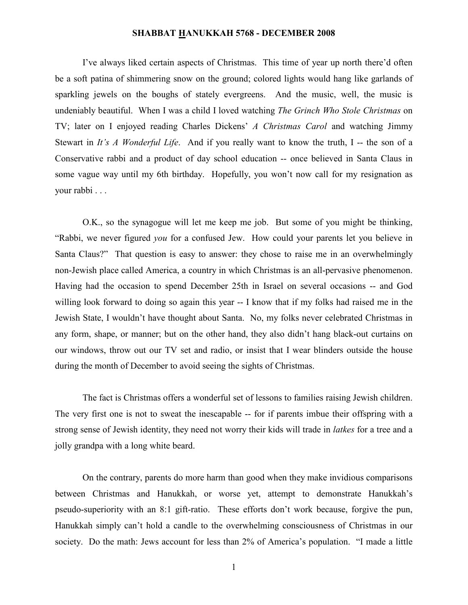I've always liked certain aspects of Christmas. This time of year up north there'd often be a soft patina of shimmering snow on the ground; colored lights would hang like garlands of sparkling jewels on the boughs of stately evergreens. And the music, well, the music is undeniably beautiful. When I was a child I loved watching *The Grinch Who Stole Christmas* on TV; later on I enjoyed reading Charles Dickens' *A Christmas Carol* and watching Jimmy Stewart in *It's A Wonderful Life*. And if you really want to know the truth, I -- the son of a Conservative rabbi and a product of day school education -- once believed in Santa Claus in some vague way until my 6th birthday. Hopefully, you won't now call for my resignation as your rabbi . . .

O.K., so the synagogue will let me keep me job. But some of you might be thinking, "Rabbi, we never figured *you* for a confused Jew. How could your parents let you believe in Santa Claus?" That question is easy to answer: they chose to raise me in an overwhelmingly non-Jewish place called America, a country in which Christmas is an all-pervasive phenomenon. Having had the occasion to spend December 25th in Israel on several occasions -- and God willing look forward to doing so again this year -- I know that if my folks had raised me in the Jewish State, I wouldn't have thought about Santa. No, my folks never celebrated Christmas in any form, shape, or manner; but on the other hand, they also didn't hang black-out curtains on our windows, throw out our TV set and radio, or insist that I wear blinders outside the house during the month of December to avoid seeing the sights of Christmas.

The fact is Christmas offers a wonderful set of lessons to families raising Jewish children. The very first one is not to sweat the inescapable -- for if parents imbue their offspring with a strong sense of Jewish identity, they need not worry their kids will trade in *latkes* for a tree and a jolly grandpa with a long white beard.

On the contrary, parents do more harm than good when they make invidious comparisons between Christmas and Hanukkah, or worse yet, attempt to demonstrate Hanukkah's pseudo-superiority with an 8:1 gift-ratio. These efforts don't work because, forgive the pun, Hanukkah simply can't hold a candle to the overwhelming consciousness of Christmas in our society. Do the math: Jews account for less than 2% of America's population. "I made a little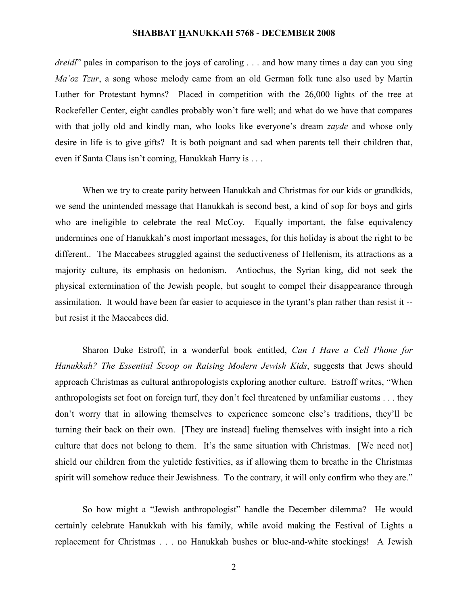*dreidl*" pales in comparison to the joys of caroling . . . and how many times a day can you sing *Ma'oz Tzur*, a song whose melody came from an old German folk tune also used by Martin Luther for Protestant hymns? Placed in competition with the 26,000 lights of the tree at Rockefeller Center, eight candles probably won't fare well; and what do we have that compares with that jolly old and kindly man, who looks like everyone's dream *zayde* and whose only desire in life is to give gifts? It is both poignant and sad when parents tell their children that, even if Santa Claus isn't coming, Hanukkah Harry is . . .

When we try to create parity between Hanukkah and Christmas for our kids or grandkids, we send the unintended message that Hanukkah is second best, a kind of sop for boys and girls who are ineligible to celebrate the real McCoy. Equally important, the false equivalency undermines one of Hanukkah's most important messages, for this holiday is about the right to be different.. The Maccabees struggled against the seductiveness of Hellenism, its attractions as a majority culture, its emphasis on hedonism. Antiochus, the Syrian king, did not seek the physical extermination of the Jewish people, but sought to compel their disappearance through assimilation. It would have been far easier to acquiesce in the tyrant's plan rather than resist it - but resist it the Maccabees did.

Sharon Duke Estroff, in a wonderful book entitled, *Can I Have a Cell Phone for Hanukkah? The Essential Scoop on Raising Modern Jewish Kids*, suggests that Jews should approach Christmas as cultural anthropologists exploring another culture. Estroff writes, "When anthropologists set foot on foreign turf, they don't feel threatened by unfamiliar customs . . . they don't worry that in allowing themselves to experience someone else's traditions, they'll be turning their back on their own. [They are instead] fueling themselves with insight into a rich culture that does not belong to them. It's the same situation with Christmas. [We need not] shield our children from the yuletide festivities, as if allowing them to breathe in the Christmas spirit will somehow reduce their Jewishness. To the contrary, it will only confirm who they are."

So how might a "Jewish anthropologist" handle the December dilemma? He would certainly celebrate Hanukkah with his family, while avoid making the Festival of Lights a replacement for Christmas . . . no Hanukkah bushes or blue-and-white stockings! A Jewish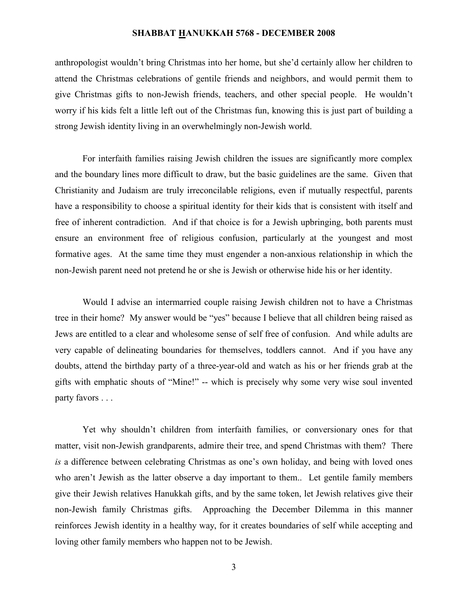anthropologist wouldn't bring Christmas into her home, but she'd certainly allow her children to attend the Christmas celebrations of gentile friends and neighbors, and would permit them to give Christmas gifts to non-Jewish friends, teachers, and other special people. He wouldn't worry if his kids felt a little left out of the Christmas fun, knowing this is just part of building a strong Jewish identity living in an overwhelmingly non-Jewish world.

For interfaith families raising Jewish children the issues are significantly more complex and the boundary lines more difficult to draw, but the basic guidelines are the same. Given that Christianity and Judaism are truly irreconcilable religions, even if mutually respectful, parents have a responsibility to choose a spiritual identity for their kids that is consistent with itself and free of inherent contradiction. And if that choice is for a Jewish upbringing, both parents must ensure an environment free of religious confusion, particularly at the youngest and most formative ages. At the same time they must engender a non-anxious relationship in which the non-Jewish parent need not pretend he or she is Jewish or otherwise hide his or her identity.

Would I advise an intermarried couple raising Jewish children not to have a Christmas tree in their home? My answer would be "yes" because I believe that all children being raised as Jews are entitled to a clear and wholesome sense of self free of confusion. And while adults are very capable of delineating boundaries for themselves, toddlers cannot. And if you have any doubts, attend the birthday party of a three-year-old and watch as his or her friends grab at the gifts with emphatic shouts of "Mine!" -- which is precisely why some very wise soul invented party favors . . .

Yet why shouldn't children from interfaith families, or conversionary ones for that matter, visit non-Jewish grandparents, admire their tree, and spend Christmas with them? There *is* a difference between celebrating Christmas as one's own holiday, and being with loved ones who aren't Jewish as the latter observe a day important to them.. Let gentile family members give their Jewish relatives Hanukkah gifts, and by the same token, let Jewish relatives give their non-Jewish family Christmas gifts. Approaching the December Dilemma in this manner reinforces Jewish identity in a healthy way, for it creates boundaries of self while accepting and loving other family members who happen not to be Jewish.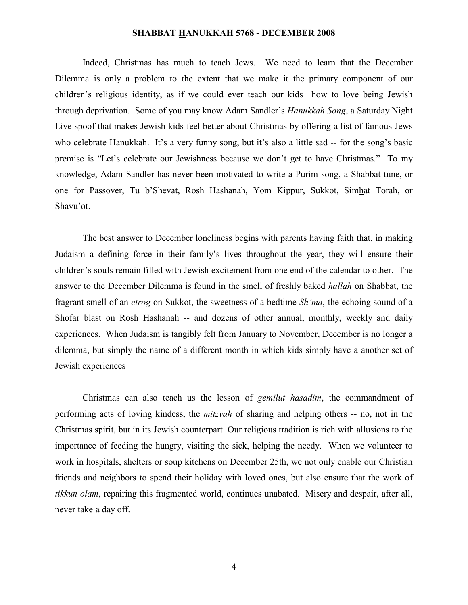Indeed, Christmas has much to teach Jews. We need to learn that the December Dilemma is only a problem to the extent that we make it the primary component of our children's religious identity, as if we could ever teach our kids how to love being Jewish through deprivation. Some of you may know Adam Sandler's *Hanukkah Song*, a Saturday Night Live spoof that makes Jewish kids feel better about Christmas by offering a list of famous Jews who celebrate Hanukkah. It's a very funny song, but it's also a little sad -- for the song's basic premise is "Let's celebrate our Jewishness because we don't get to have Christmas." To my knowledge, Adam Sandler has never been motivated to write a Purim song, a Shabbat tune, or one for Passover, Tu b'Shevat, Rosh Hashanah, Yom Kippur, Sukkot, Simhat Torah, or Shavu'ot.

The best answer to December loneliness begins with parents having faith that, in making Judaism a defining force in their family's lives throughout the year, they will ensure their children's souls remain filled with Jewish excitement from one end of the calendar to other. The answer to the December Dilemma is found in the smell of freshly baked *hallah* on Shabbat, the fragrant smell of an *etrog* on Sukkot, the sweetness of a bedtime *Sh'ma*, the echoing sound of a Shofar blast on Rosh Hashanah -- and dozens of other annual, monthly, weekly and daily experiences. When Judaism is tangibly felt from January to November, December is no longer a dilemma, but simply the name of a different month in which kids simply have a another set of Jewish experiences

Christmas can also teach us the lesson of *gemilut hasadim*, the commandment of performing acts of loving kindess, the *mitzvah* of sharing and helping others -- no, not in the Christmas spirit, but in its Jewish counterpart. Our religious tradition is rich with allusions to the importance of feeding the hungry, visiting the sick, helping the needy. When we volunteer to work in hospitals, shelters or soup kitchens on December 25th, we not only enable our Christian friends and neighbors to spend their holiday with loved ones, but also ensure that the work of *tikkun olam*, repairing this fragmented world, continues unabated. Misery and despair, after all, never take a day off.